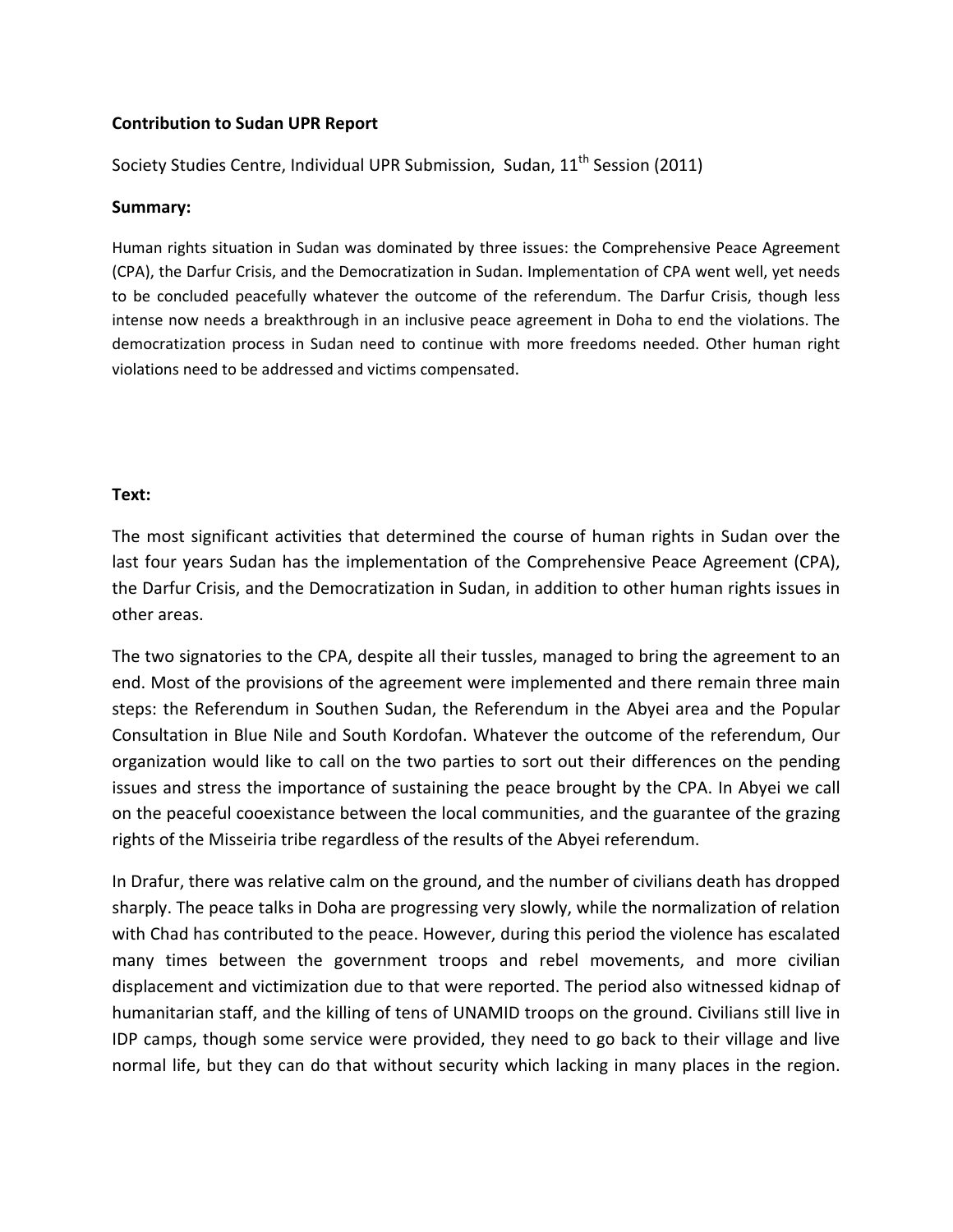## **Contribution to Sudan UPR Report**

Society Studies Centre, Individual UPR Submission, Sudan, 11<sup>th</sup> Session (2011)

## **Summary:**

Human rights situation in Sudan was dominated by three issues: the Comprehensive Peace Agreement (CPA), the Darfur Crisis, and the Democratization in Sudan. Implementation of CPA went well, yet needs to be concluded peacefully whatever the outcome of the referendum. The Darfur Crisis, though less intense now needs a breakthrough in an inclusive peace agreement in Doha to end the violations. The democratization process in Sudan need to continue with more freedoms needed. Other human right violations need to be addressed and victims compensated.

## **Text:**

The most significant activities that determined the course of human rights in Sudan over the last four years Sudan has the implementation of the Comprehensive Peace Agreement (CPA), the Darfur Crisis, and the Democratization in Sudan, in addition to other human rights issues in other areas.

The two signatories to the CPA, despite all their tussles, managed to bring the agreement to an end. Most of the provisions of the agreement were implemented and there remain three main steps: the Referendum in Southen Sudan, the Referendum in the Abyei area and the Popular Consultation in Blue Nile and South Kordofan. Whatever the outcome of the referendum, Our organization would like to call on the two parties to sort out their differences on the pending issues and stress the importance of sustaining the peace brought by the CPA. In Abyei we call on the peaceful cooexistance between the local communities, and the guarantee of the grazing rights of the Misseiria tribe regardless of the results of the Abyei referendum.

In Drafur, there was relative calm on the ground, and the number of civilians death has dropped sharply. The peace talks in Doha are progressing very slowly, while the normalization of relation with Chad has contributed to the peace. However, during this period the violence has escalated many times between the government troops and rebel movements, and more civilian displacement and victimization due to that were reported. The period also witnessed kidnap of humanitarian staff, and the killing of tens of UNAMID troops on the ground. Civilians still live in IDP camps, though some service were provided, they need to go back to their village and live normal life, but they can do that without security which lacking in many places in the region.